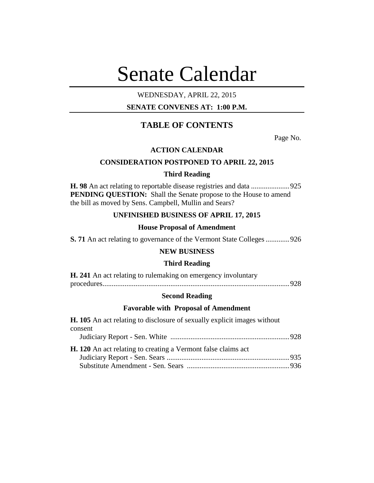# Senate Calendar

# WEDNESDAY, APRIL 22, 2015

# **SENATE CONVENES AT: 1:00 P.M.**

# **TABLE OF CONTENTS**

Page No.

# **ACTION CALENDAR**

# **CONSIDERATION POSTPONED TO APRIL 22, 2015**

## **Third Reading**

**H. 98** An act relating to reportable disease registries and data .....................925 PENDING QUESTION: Shall the Senate propose to the House to amend the bill as moved by Sens. Campbell, Mullin and Sears?

# **UNFINISHED BUSINESS OF APRIL 17, 2015**

## **House Proposal of Amendment**

**S. 71** An act relating to governance of the Vermont State Colleges.............926

# **NEW BUSINESS**

## **Third Reading**

| H. 241 An act relating to rulemaking on emergency involuntary |  |
|---------------------------------------------------------------|--|
|                                                               |  |

## **Second Reading**

## **Favorable with Proposal of Amendment**

| <b>H. 105</b> An act relating to disclosure of sexually explicit images without |  |
|---------------------------------------------------------------------------------|--|
| consent                                                                         |  |
|                                                                                 |  |
| <b>H.</b> 120 An act relating to creating a Vermont false claims act            |  |
|                                                                                 |  |
|                                                                                 |  |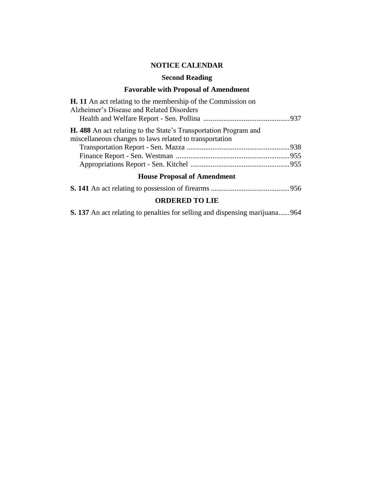# **NOTICE CALENDAR**

# **Second Reading**

# **Favorable with Proposal of Amendment**

| <b>H.</b> 11 An act relating to the membership of the Commission on                                                                |  |
|------------------------------------------------------------------------------------------------------------------------------------|--|
| Alzheimer's Disease and Related Disorders                                                                                          |  |
|                                                                                                                                    |  |
| <b>H.</b> 488 An act relating to the State's Transportation Program and<br>miscellaneous changes to laws related to transportation |  |
|                                                                                                                                    |  |
|                                                                                                                                    |  |
|                                                                                                                                    |  |
| $\mathbf{H}$ , $\mathbf{D}$ , $\mathbf{I}$ , $\mathbf{P}$ , $\mathbf{A}$ , $\mathbf{I}$ , $\mathbf{I}$ , $\mathbf{A}$              |  |

# **House Proposal of Amendment**

# **ORDERED TO LIE**

**S. 137** An act relating to penalties for selling and dispensing marijuana......964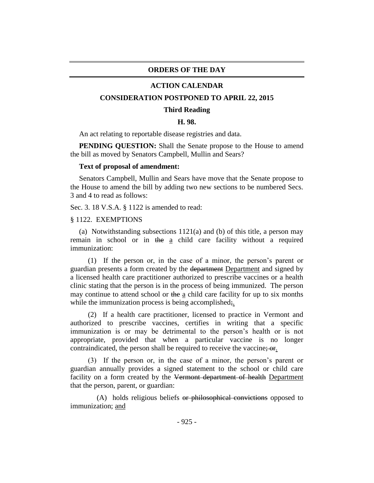# **ORDERS OF THE DAY**

## **ACTION CALENDAR**

## **CONSIDERATION POSTPONED TO APRIL 22, 2015**

#### **Third Reading**

## **H. 98.**

An act relating to reportable disease registries and data.

**PENDING QUESTION:** Shall the Senate propose to the House to amend the bill as moved by Senators Campbell, Mullin and Sears?

#### **Text of proposal of amendment:**

Senators Campbell, Mullin and Sears have move that the Senate propose to the House to amend the bill by adding two new sections to be numbered Secs. 3 and 4 to read as follows:

Sec. 3. 18 V.S.A. § 1122 is amended to read:

§ 1122. EXEMPTIONS

(a) Notwithstanding subsections 1121(a) and (b) of this title, a person may remain in school or in the a child care facility without a required immunization:

(1) If the person or, in the case of a minor, the person's parent or guardian presents a form created by the department Department and signed by a licensed health care practitioner authorized to prescribe vaccines or a health clinic stating that the person is in the process of being immunized. The person may continue to attend school or the a child care facility for up to six months while the immunization process is being accomplished;.

(2) If a health care practitioner, licensed to practice in Vermont and authorized to prescribe vaccines, certifies in writing that a specific immunization is or may be detrimental to the person's health or is not appropriate, provided that when a particular vaccine is no longer contraindicated, the person shall be required to receive the vaccine; or.

(3) If the person or, in the case of a minor, the person's parent or guardian annually provides a signed statement to the school or child care facility on a form created by the Vermont department of health Department that the person, parent, or guardian:

(A) holds religious beliefs or philosophical convictions opposed to immunization; and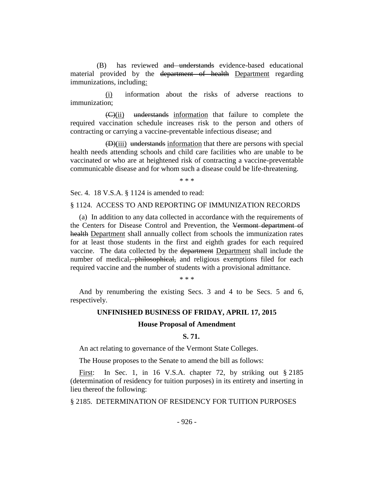(B) has reviewed and understands evidence-based educational material provided by the department of health Department regarding immunizations, including:

(i) information about the risks of adverse reactions to immunization;

(C)(ii) understands information that failure to complete the required vaccination schedule increases risk to the person and others of contracting or carrying a vaccine-preventable infectious disease; and

(D)(iii) understands information that there are persons with special health needs attending schools and child care facilities who are unable to be vaccinated or who are at heightened risk of contracting a vaccine-preventable communicable disease and for whom such a disease could be life-threatening.

\* \* \*

Sec. 4. 18 V.S.A. § 1124 is amended to read:

## § 1124. ACCESS TO AND REPORTING OF IMMUNIZATION RECORDS

(a) In addition to any data collected in accordance with the requirements of the Centers for Disease Control and Prevention, the Vermont department of health Department shall annually collect from schools the immunization rates for at least those students in the first and eighth grades for each required vaccine. The data collected by the department Department shall include the number of medical, philosophical, and religious exemptions filed for each required vaccine and the number of students with a provisional admittance.

\* \* \*

And by renumbering the existing Secs. 3 and 4 to be Secs. 5 and 6, respectively.

# **UNFINISHED BUSINESS OF FRIDAY, APRIL 17, 2015**

## **House Proposal of Amendment**

## **S. 71.**

An act relating to governance of the Vermont State Colleges.

The House proposes to the Senate to amend the bill as follows:

First: In Sec. 1, in 16 V.S.A. chapter 72, by striking out § 2185 (determination of residency for tuition purposes) in its entirety and inserting in lieu thereof the following:

§ 2185. DETERMINATION OF RESIDENCY FOR TUITION PURPOSES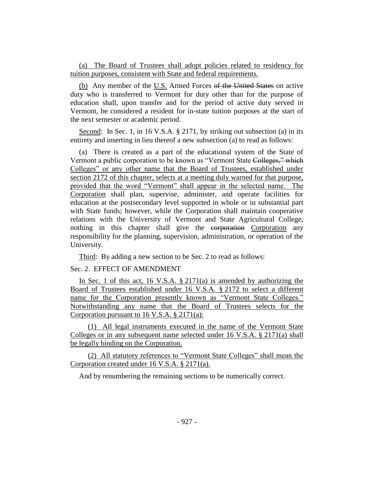(a) The Board of Trustees shall adopt policies related to residency for tuition purposes, consistent with State and federal requirements.

(b) Any member of the U.S. Armed Forces of the United States on active duty who is transferred to Vermont for duty other than for the purpose of education shall, upon transfer and for the period of active duty served in Vermont, be considered a resident for in-state tuition purposes at the start of the next semester or academic period.

Second: In Sec. 1, in 16 V.S.A. § 2171, by striking out subsection (a) in its entirety and inserting in lieu thereof a new subsection (a) to read as follows:

(a) There is created as a part of the educational system of the State of Vermont a public corporation to be known as "Vermont State Colleges," which Colleges" or any other name that the Board of Trustees, established under section 2172 of this chapter, selects at a meeting duly warned for that purpose, provided that the word "Vermont" shall appear in the selected name. The Corporation shall plan, supervise, administer, and operate facilities for education at the postsecondary level supported in whole or in substantial part with State funds; however, while the Corporation shall maintain cooperative relations with the University of Vermont and State Agricultural College, nothing in this chapter shall give the corporation Corporation any responsibility for the planning, supervision, administration, or operation of the University.

Third: By adding a new section to be Sec. 2 to read as follows:

## Sec. 2. EFFECT OF AMENDMENT

In Sec. 1 of this act, 16 V.S.A. § 2171(a) is amended by authorizing the Board of Trustees established under 16 V.S.A. § 2172 to select a different name for the Corporation presently known as "Vermont State Colleges." Notwithstanding any name that the Board of Trustees selects for the Corporation pursuant to 16 V.S.A. § 2171(a):

(1) All legal instruments executed in the name of the Vermont State Colleges or in any subsequent name selected under 16 V.S.A. § 2171(a) shall be legally binding on the Corporation.

(2) All statutory references to "Vermont State Colleges" shall mean the Corporation created under 16 V.S.A. § 2171(a).

And by renumbering the remaining sections to be numerically correct.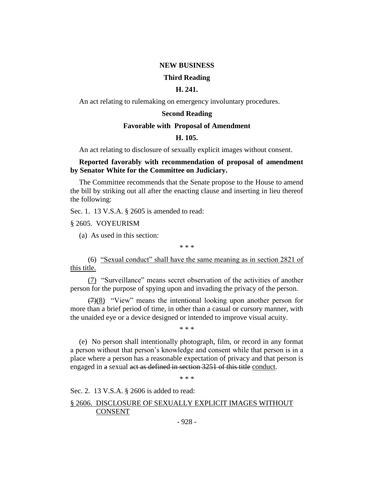## **NEW BUSINESS**

## **Third Reading**

## **H. 241.**

An act relating to rulemaking on emergency involuntary procedures.

## **Second Reading**

## **Favorable with Proposal of Amendment**

## **H. 105.**

An act relating to disclosure of sexually explicit images without consent.

## **Reported favorably with recommendation of proposal of amendment by Senator White for the Committee on Judiciary.**

The Committee recommends that the Senate propose to the House to amend the bill by striking out all after the enacting clause and inserting in lieu thereof the following:

Sec. 1. 13 V.S.A. § 2605 is amended to read:

§ 2605. VOYEURISM

(a) As used in this section:

\* \* \*

(6) "Sexual conduct" shall have the same meaning as in section 2821 of this title.

(7) "Surveillance" means secret observation of the activities of another person for the purpose of spying upon and invading the privacy of the person.

 $(7)(8)$  "View" means the intentional looking upon another person for more than a brief period of time, in other than a casual or cursory manner, with the unaided eye or a device designed or intended to improve visual acuity.

\* \* \*

(e) No person shall intentionally photograph, film, or record in any format a person without that person's knowledge and consent while that person is in a place where a person has a reasonable expectation of privacy and that person is engaged in a sexual act as defined in section 3251 of this title conduct.

\* \* \*

Sec. 2. 13 V.S.A. § 2606 is added to read:

# § 2606. DISCLOSURE OF SEXUALLY EXPLICIT IMAGES WITHOUT CONSENT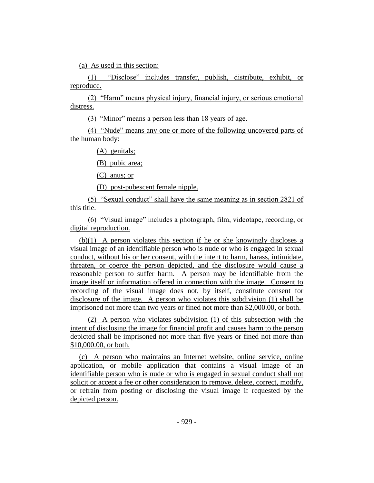(a) As used in this section:

(1) "Disclose" includes transfer, publish, distribute, exhibit, or reproduce.

(2) "Harm" means physical injury, financial injury, or serious emotional distress.

(3) "Minor" means a person less than 18 years of age.

(4) "Nude" means any one or more of the following uncovered parts of the human body:

(A) genitals;

(B) pubic area;

(C) anus; or

(D) post-pubescent female nipple.

(5) "Sexual conduct" shall have the same meaning as in section 2821 of this title.

(6) "Visual image" includes a photograph, film, videotape, recording, or digital reproduction.

(b)(1) A person violates this section if he or she knowingly discloses a visual image of an identifiable person who is nude or who is engaged in sexual conduct, without his or her consent, with the intent to harm, harass, intimidate, threaten, or coerce the person depicted, and the disclosure would cause a reasonable person to suffer harm. A person may be identifiable from the image itself or information offered in connection with the image. Consent to recording of the visual image does not, by itself, constitute consent for disclosure of the image. A person who violates this subdivision (1) shall be imprisoned not more than two years or fined not more than \$2,000.00, or both.

(2) A person who violates subdivision (1) of this subsection with the intent of disclosing the image for financial profit and causes harm to the person depicted shall be imprisoned not more than five years or fined not more than \$10,000.00, or both.

(c) A person who maintains an Internet website, online service, online application, or mobile application that contains a visual image of an identifiable person who is nude or who is engaged in sexual conduct shall not solicit or accept a fee or other consideration to remove, delete, correct, modify, or refrain from posting or disclosing the visual image if requested by the depicted person.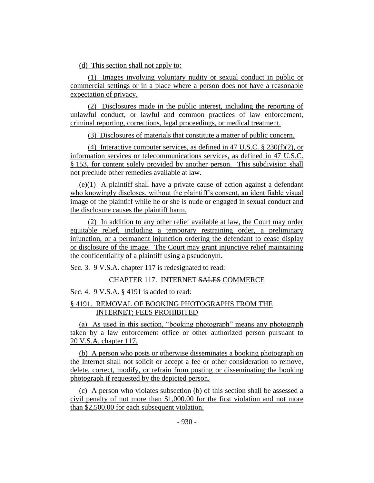(d) This section shall not apply to:

(1) Images involving voluntary nudity or sexual conduct in public or commercial settings or in a place where a person does not have a reasonable expectation of privacy.

(2) Disclosures made in the public interest, including the reporting of unlawful conduct, or lawful and common practices of law enforcement, criminal reporting, corrections, legal proceedings, or medical treatment.

(3) Disclosures of materials that constitute a matter of public concern.

(4) Interactive computer services, as defined in 47 U.S.C.  $\S$  230(f)(2), or information services or telecommunications services, as defined in 47 U.S.C. § 153, for content solely provided by another person. This subdivision shall not preclude other remedies available at law.

(e)(1) A plaintiff shall have a private cause of action against a defendant who knowingly discloses, without the plaintiff's consent, an identifiable visual image of the plaintiff while he or she is nude or engaged in sexual conduct and the disclosure causes the plaintiff harm.

(2) In addition to any other relief available at law, the Court may order equitable relief, including a temporary restraining order, a preliminary injunction, or a permanent injunction ordering the defendant to cease display or disclosure of the image. The Court may grant injunctive relief maintaining the confidentiality of a plaintiff using a pseudonym.

Sec. 3. 9 V.S.A. chapter 117 is redesignated to read:

# CHAPTER 117. INTERNET SALES COMMERCE

Sec. 4. 9 V.S.A. § 4191 is added to read:

# § 4191. REMOVAL OF BOOKING PHOTOGRAPHS FROM THE INTERNET; FEES PROHIBITED

(a) As used in this section, "booking photograph" means any photograph taken by a law enforcement office or other authorized person pursuant to 20 V.S.A. chapter 117.

(b) A person who posts or otherwise disseminates a booking photograph on the Internet shall not solicit or accept a fee or other consideration to remove, delete, correct, modify, or refrain from posting or disseminating the booking photograph if requested by the depicted person.

(c) A person who violates subsection (b) of this section shall be assessed a civil penalty of not more than \$1,000.00 for the first violation and not more than \$2,500.00 for each subsequent violation.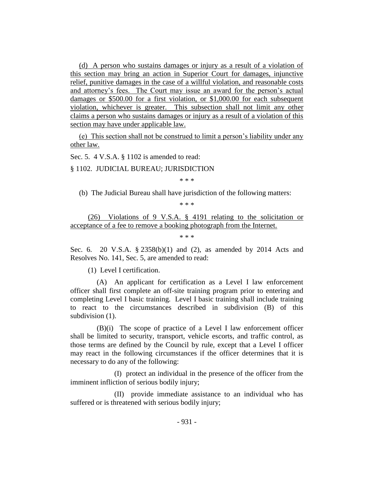(d) A person who sustains damages or injury as a result of a violation of this section may bring an action in Superior Court for damages, injunctive relief, punitive damages in the case of a willful violation, and reasonable costs and attorney's fees. The Court may issue an award for the person's actual damages or \$500.00 for a first violation, or \$1,000.00 for each subsequent violation, whichever is greater. This subsection shall not limit any other claims a person who sustains damages or injury as a result of a violation of this section may have under applicable law.

(e) This section shall not be construed to limit a person's liability under any other law.

Sec. 5. 4 V.S.A. § 1102 is amended to read:

§ 1102. JUDICIAL BUREAU; JURISDICTION

\* \* \*

(b) The Judicial Bureau shall have jurisdiction of the following matters:

\* \* \*

(26) Violations of 9 V.S.A. § 4191 relating to the solicitation or acceptance of a fee to remove a booking photograph from the Internet.

\* \* \*

Sec. 6. 20 V.S.A. § 2358(b)(1) and (2), as amended by 2014 Acts and Resolves No. 141, Sec. 5, are amended to read:

(1) Level I certification.

(A) An applicant for certification as a Level I law enforcement officer shall first complete an off-site training program prior to entering and completing Level I basic training. Level I basic training shall include training to react to the circumstances described in subdivision (B) of this subdivision  $(1)$ .

(B)(i) The scope of practice of a Level I law enforcement officer shall be limited to security, transport, vehicle escorts, and traffic control, as those terms are defined by the Council by rule, except that a Level I officer may react in the following circumstances if the officer determines that it is necessary to do any of the following:

(I) protect an individual in the presence of the officer from the imminent infliction of serious bodily injury;

(II) provide immediate assistance to an individual who has suffered or is threatened with serious bodily injury;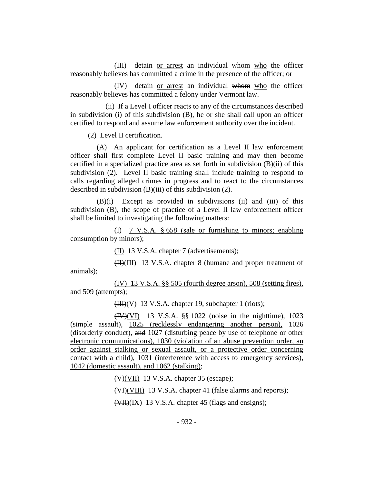(III) detain or arrest an individual whom who the officer reasonably believes has committed a crime in the presence of the officer; or

(IV) detain or arrest an individual whom who the officer reasonably believes has committed a felony under Vermont law.

(ii) If a Level I officer reacts to any of the circumstances described in subdivision (i) of this subdivision (B), he or she shall call upon an officer certified to respond and assume law enforcement authority over the incident.

(2) Level II certification.

(A) An applicant for certification as a Level II law enforcement officer shall first complete Level II basic training and may then become certified in a specialized practice area as set forth in subdivision (B)(ii) of this subdivision (2). Level II basic training shall include training to respond to calls regarding alleged crimes in progress and to react to the circumstances described in subdivision (B)(iii) of this subdivision (2).

(B)(i) Except as provided in subdivisions (ii) and (iii) of this subdivision (B), the scope of practice of a Level II law enforcement officer shall be limited to investigating the following matters:

(I) 7 V.S.A. § 658 (sale or furnishing to minors; enabling consumption by minors);

(II) 13 V.S.A. chapter 7 (advertisements);

 $(HH)(III)$  13 V.S.A. chapter 8 (humane and proper treatment of animals);

(IV) 13 V.S.A. §§ 505 (fourth degree arson), 508 (setting fires), and 509 (attempts);

 $(HH)(V)$  13 V.S.A. chapter 19, subchapter 1 (riots);

(IV)(VI) 13 V.S.A. §§ 1022 (noise in the nighttime), 1023 (simple assault), 1025 (recklessly endangering another person), 1026 (disorderly conduct), and 1027 (disturbing peace by use of telephone or other electronic communications), 1030 (violation of an abuse prevention order, an order against stalking or sexual assault, or a protective order concerning contact with a child), 1031 (interference with access to emergency services), 1042 (domestic assault), and 1062 (stalking);

(V)(VII) 13 V.S.A. chapter 35 (escape);

(VIII) 13 V.S.A. chapter 41 (false alarms and reports);

(VII)(IX) 13 V.S.A. chapter 45 (flags and ensigns);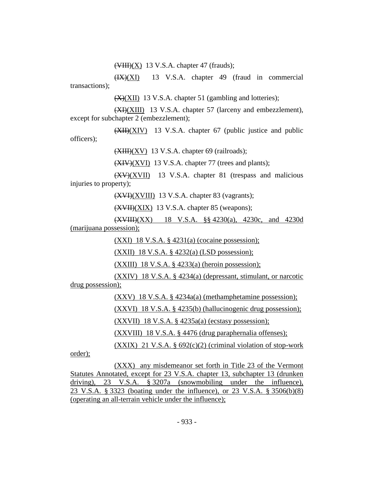$(\overline{\text{VIII}})(X)$  13 V.S.A. chapter 47 (frauds);

(IX)(XI) 13 V.S.A. chapter 49 (fraud in commercial transactions);

(X)(XII) 13 V.S.A. chapter 51 (gambling and lotteries);

(XI)(XIII) 13 V.S.A. chapter 57 (larceny and embezzlement), except for subchapter 2 (embezzlement);

(XII)(XIV) 13 V.S.A. chapter 67 (public justice and public officers);

(XIII)(XV) 13 V.S.A. chapter 69 (railroads);

 $(XIV)(XVI)$  13 V.S.A. chapter 77 (trees and plants);

(XV)(XVII) 13 V.S.A. chapter 81 (trespass and malicious injuries to property);

(XVI)(XVIII) 13 V.S.A. chapter 83 (vagrants);

(XVII)(XIX) 13 V.S.A. chapter 85 (weapons);

(XVIII)(XX) 18 V.S.A. §§ 4230(a), 4230c, and 4230d (marijuana possession);

(XXI) 18 V.S.A. § 4231(a) (cocaine possession);

(XXII) 18 V.S.A. § 4232(a) (LSD possession);

 $(XXIII)$  18 V.S.A. § 4233(a) (heroin possession);

(XXIV) 18 V.S.A. § 4234(a) (depressant, stimulant, or narcotic drug possession);

(XXV) 18 V.S.A. § 4234a(a) (methamphetamine possession);

(XXVI) 18 V.S.A. § 4235(b) (hallucinogenic drug possession);

(XXVII) 18 V.S.A. § 4235a(a) (ecstasy possession);

(XXVIII) 18 V.S.A. § 4476 (drug paraphernalia offenses);

 $(XXIX)$  21 V.S.A. § 692 $(c)(2)$  (criminal violation of stop-work

order);

(XXX) any misdemeanor set forth in Title 23 of the Vermont Statutes Annotated, except for 23 V.S.A. chapter 13, subchapter 13 (drunken driving), 23 V.S.A. § 3207a (snowmobiling under the influence), 23 V.S.A. § 3323 (boating under the influence), or 23 V.S.A. § 3506(b)(8) (operating an all-terrain vehicle under the influence);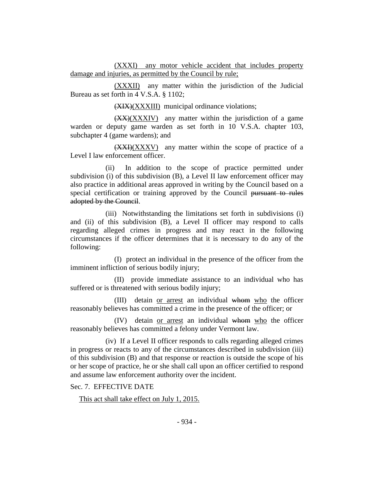(XXXI) any motor vehicle accident that includes property damage and injuries, as permitted by the Council by rule;

(XXXII) any matter within the jurisdiction of the Judicial Bureau as set forth in 4 V.S.A. § 1102;

(XIX)(XXXIII) municipal ordinance violations;

 $(XX)(XXXIV)$  any matter within the jurisdiction of a game warden or deputy game warden as set forth in 10 V.S.A. chapter 103, subchapter 4 (game wardens); and

 $(XXI)(XXXV)$  any matter within the scope of practice of a Level I law enforcement officer.

(ii) In addition to the scope of practice permitted under subdivision (i) of this subdivision (B), a Level II law enforcement officer may also practice in additional areas approved in writing by the Council based on a special certification or training approved by the Council pursuant to rules adopted by the Council.

(iii) Notwithstanding the limitations set forth in subdivisions (i) and (ii) of this subdivision (B), a Level II officer may respond to calls regarding alleged crimes in progress and may react in the following circumstances if the officer determines that it is necessary to do any of the following:

(I) protect an individual in the presence of the officer from the imminent infliction of serious bodily injury;

(II) provide immediate assistance to an individual who has suffered or is threatened with serious bodily injury;

(III) detain or arrest an individual whom who the officer reasonably believes has committed a crime in the presence of the officer; or

(IV) detain or arrest an individual whom who the officer reasonably believes has committed a felony under Vermont law.

(iv) If a Level II officer responds to calls regarding alleged crimes in progress or reacts to any of the circumstances described in subdivision (iii) of this subdivision (B) and that response or reaction is outside the scope of his or her scope of practice, he or she shall call upon an officer certified to respond and assume law enforcement authority over the incident.

Sec. 7. EFFECTIVE DATE

This act shall take effect on July 1, 2015.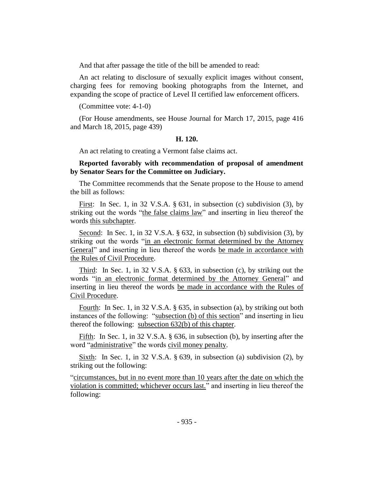And that after passage the title of the bill be amended to read:

An act relating to disclosure of sexually explicit images without consent, charging fees for removing booking photographs from the Internet, and expanding the scope of practice of Level II certified law enforcement officers.

(Committee vote: 4-1-0)

(For House amendments, see House Journal for March 17, 2015, page 416 and March 18, 2015, page 439)

## **H. 120.**

An act relating to creating a Vermont false claims act.

## **Reported favorably with recommendation of proposal of amendment by Senator Sears for the Committee on Judiciary.**

The Committee recommends that the Senate propose to the House to amend the bill as follows:

First: In Sec. 1, in 32 V.S.A. § 631, in subsection (c) subdivision (3), by striking out the words "the false claims law" and inserting in lieu thereof the words this subchapter.

Second: In Sec. 1, in 32 V.S.A. § 632, in subsection (b) subdivision (3), by striking out the words "in an electronic format determined by the Attorney General" and inserting in lieu thereof the words be made in accordance with the Rules of Civil Procedure.

Third: In Sec. 1, in 32 V.S.A. § 633, in subsection (c), by striking out the words "in an electronic format determined by the Attorney General" and inserting in lieu thereof the words be made in accordance with the Rules of Civil Procedure.

Fourth: In Sec. 1, in 32 V.S.A. § 635, in subsection (a), by striking out both instances of the following: "subsection (b) of this section" and inserting in lieu thereof the following: subsection 632(b) of this chapter.

Fifth: In Sec. 1, in 32 V.S.A. § 636, in subsection (b), by inserting after the word "administrative" the words civil money penalty.

Sixth: In Sec. 1, in 32 V.S.A.  $\S$  639, in subsection (a) subdivision (2), by striking out the following:

"circumstances, but in no event more than 10 years after the date on which the violation is committed; whichever occurs last." and inserting in lieu thereof the following: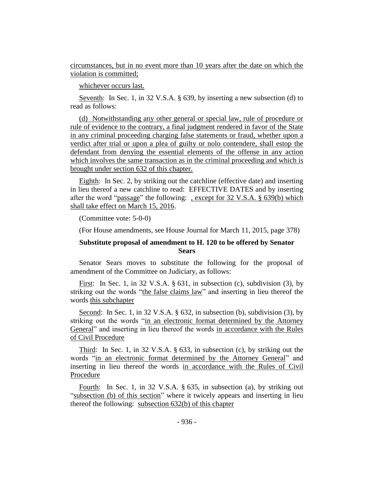circumstances, but in no event more than 10 years after the date on which the violation is committed;

whichever occurs last.

Seventh: In Sec. 1, in 32 V.S.A. § 639, by inserting a new subsection (d) to read as follows:

(d) Notwithstanding any other general or special law, rule of procedure or rule of evidence to the contrary, a final judgment rendered in favor of the State in any criminal proceeding charging false statements or fraud, whether upon a verdict after trial or upon a plea of guilty or nolo contendere, shall estop the defendant from denying the essential elements of the offense in any action which involves the same transaction as in the criminal proceeding and which is brought under section 632 of this chapter.

Eighth: In Sec. 2, by striking out the catchline (effective date) and inserting in lieu thereof a new catchline to read: EFFECTIVE DATES and by inserting after the word "passage" the following: , except for 32 V.S.A. § 639(b) which shall take effect on March 15, 2016.

(Committee vote: 5-0-0)

(For House amendments, see House Journal for March 11, 2015, page 378)

# **Substitute proposal of amendment to H. 120 to be offered by Senator Sears**

Senator Sears moves to substitute the following for the proposal of amendment of the Committee on Judiciary, as follows:

First: In Sec. 1, in 32 V.S.A. § 631, in subsection (c), subdivision (3), by striking out the words "the false claims law" and inserting in lieu thereof the words this subchapter

Second: In Sec. 1, in 32 V.S.A. § 632, in subsection (b), subdivision (3), by striking out the words "in an electronic format determined by the Attorney General" and inserting in lieu thereof the words in accordance with the Rules of Civil Procedure

Third: In Sec. 1, in 32 V.S.A. § 633, in subsection (c), by striking out the words "in an electronic format determined by the Attorney General" and inserting in lieu thereof the words in accordance with the Rules of Civil Procedure

Fourth: In Sec. 1, in 32 V.S.A. § 635, in subsection (a), by striking out "subsection (b) of this section" where it twicely appears and inserting in lieu thereof the following: subsection 632(b) of this chapter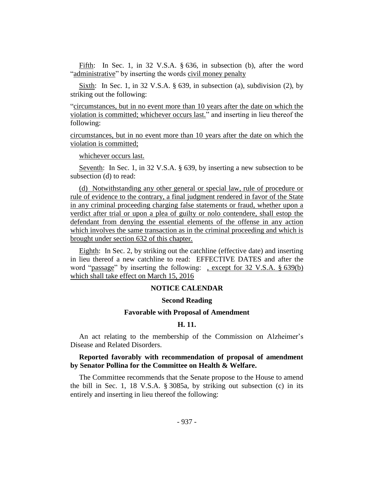Fifth: In Sec. 1, in 32 V.S.A. § 636, in subsection (b), after the word "administrative" by inserting the words civil money penalty

Sixth: In Sec. 1, in 32 V.S.A. § 639, in subsection (a), subdivision (2), by striking out the following:

"circumstances, but in no event more than 10 years after the date on which the violation is committed; whichever occurs last." and inserting in lieu thereof the following:

circumstances, but in no event more than 10 years after the date on which the violation is committed;

whichever occurs last.

Seventh: In Sec. 1, in 32 V.S.A. § 639, by inserting a new subsection to be subsection (d) to read:

(d) Notwithstanding any other general or special law, rule of procedure or rule of evidence to the contrary, a final judgment rendered in favor of the State in any criminal proceeding charging false statements or fraud, whether upon a verdict after trial or upon a plea of guilty or nolo contendere, shall estop the defendant from denying the essential elements of the offense in any action which involves the same transaction as in the criminal proceeding and which is brought under section 632 of this chapter.

Eighth: In Sec. 2, by striking out the catchline (effective date) and inserting in lieu thereof a new catchline to read: EFFECTIVE DATES and after the word "passage" by inserting the following: , except for 32 V.S.A. § 639(b) which shall take effect on March 15, 2016

## **NOTICE CALENDAR**

## **Second Reading**

## **Favorable with Proposal of Amendment**

#### **H. 11.**

An act relating to the membership of the Commission on Alzheimer's Disease and Related Disorders.

## **Reported favorably with recommendation of proposal of amendment by Senator Pollina for the Committee on Health & Welfare.**

The Committee recommends that the Senate propose to the House to amend the bill in Sec. 1, 18 V.S.A. § 3085a, by striking out subsection (c) in its entirely and inserting in lieu thereof the following: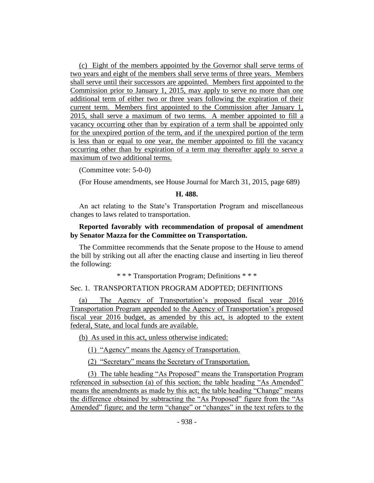(c) Eight of the members appointed by the Governor shall serve terms of two years and eight of the members shall serve terms of three years. Members shall serve until their successors are appointed. Members first appointed to the Commission prior to January 1, 2015, may apply to serve no more than one additional term of either two or three years following the expiration of their current term. Members first appointed to the Commission after January 1, 2015, shall serve a maximum of two terms. A member appointed to fill a vacancy occurring other than by expiration of a term shall be appointed only for the unexpired portion of the term, and if the unexpired portion of the term is less than or equal to one year, the member appointed to fill the vacancy occurring other than by expiration of a term may thereafter apply to serve a maximum of two additional terms.

(Committee vote: 5-0-0)

(For House amendments, see House Journal for March 31, 2015, page 689)

## **H. 488.**

An act relating to the State's Transportation Program and miscellaneous changes to laws related to transportation.

# **Reported favorably with recommendation of proposal of amendment by Senator Mazza for the Committee on Transportation.**

The Committee recommends that the Senate propose to the House to amend the bill by striking out all after the enacting clause and inserting in lieu thereof the following:

\* \* \* Transportation Program; Definitions \* \* \*

## Sec. 1. TRANSPORTATION PROGRAM ADOPTED; DEFINITIONS

(a) The Agency of Transportation's proposed fiscal year 2016 Transportation Program appended to the Agency of Transportation's proposed fiscal year 2016 budget, as amended by this act, is adopted to the extent federal, State, and local funds are available.

(b) As used in this act, unless otherwise indicated:

(1) "Agency" means the Agency of Transportation.

(2) "Secretary" means the Secretary of Transportation.

(3) The table heading "As Proposed" means the Transportation Program referenced in subsection (a) of this section; the table heading "As Amended" means the amendments as made by this act; the table heading "Change" means the difference obtained by subtracting the "As Proposed" figure from the "As Amended" figure; and the term "change" or "changes" in the text refers to the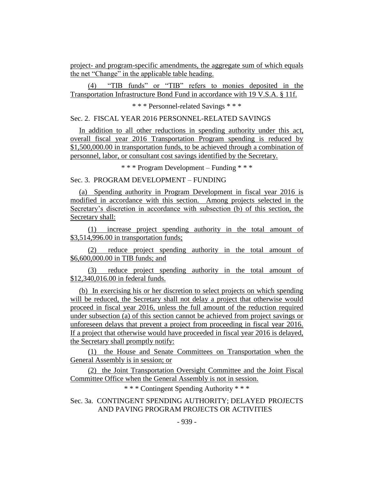project- and program-specific amendments, the aggregate sum of which equals the net "Change" in the applicable table heading.

(4) "TIB funds" or "TIB" refers to monies deposited in the Transportation Infrastructure Bond Fund in accordance with 19 V.S.A. § 11f.

\* \* \* Personnel-related Savings \* \* \*

Sec. 2. FISCAL YEAR 2016 PERSONNEL-RELATED SAVINGS

In addition to all other reductions in spending authority under this act, overall fiscal year 2016 Transportation Program spending is reduced by \$1,500,000.00 in transportation funds, to be achieved through a combination of personnel, labor, or consultant cost savings identified by the Secretary.

\* \* \* Program Development – Funding \* \* \*

Sec. 3. PROGRAM DEVELOPMENT – FUNDING

(a) Spending authority in Program Development in fiscal year 2016 is modified in accordance with this section. Among projects selected in the Secretary's discretion in accordance with subsection (b) of this section, the Secretary shall:

(1) increase project spending authority in the total amount of \$3,514,996.00 in transportation funds;

(2) reduce project spending authority in the total amount of \$6,600,000.00 in TIB funds; and

(3) reduce project spending authority in the total amount of \$12,340,016.00 in federal funds.

(b) In exercising his or her discretion to select projects on which spending will be reduced, the Secretary shall not delay a project that otherwise would proceed in fiscal year 2016, unless the full amount of the reduction required under subsection (a) of this section cannot be achieved from project savings or unforeseen delays that prevent a project from proceeding in fiscal year 2016. If a project that otherwise would have proceeded in fiscal year 2016 is delayed, the Secretary shall promptly notify:

(1) the House and Senate Committees on Transportation when the General Assembly is in session; or

(2) the Joint Transportation Oversight Committee and the Joint Fiscal Committee Office when the General Assembly is not in session.

\* \* \* Contingent Spending Authority \* \* \*

Sec. 3a. CONTINGENT SPENDING AUTHORITY; DELAYED PROJECTS AND PAVING PROGRAM PROJECTS OR ACTIVITIES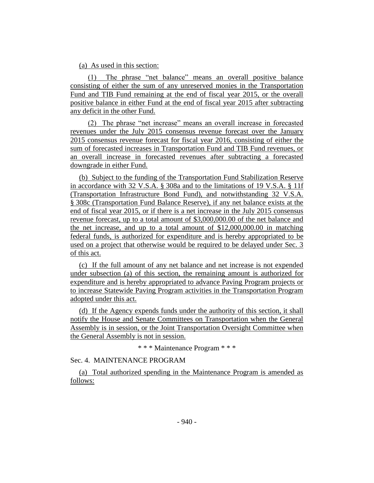## (a) As used in this section:

(1) The phrase "net balance" means an overall positive balance consisting of either the sum of any unreserved monies in the Transportation Fund and TIB Fund remaining at the end of fiscal year 2015, or the overall positive balance in either Fund at the end of fiscal year 2015 after subtracting any deficit in the other Fund.

(2) The phrase "net increase" means an overall increase in forecasted revenues under the July 2015 consensus revenue forecast over the January 2015 consensus revenue forecast for fiscal year 2016, consisting of either the sum of forecasted increases in Transportation Fund and TIB Fund revenues, or an overall increase in forecasted revenues after subtracting a forecasted downgrade in either Fund.

(b) Subject to the funding of the Transportation Fund Stabilization Reserve in accordance with 32 V.S.A. § 308a and to the limitations of 19 V.S.A. § 11f (Transportation Infrastructure Bond Fund), and notwithstanding 32 V.S.A. § 308c (Transportation Fund Balance Reserve), if any net balance exists at the end of fiscal year 2015, or if there is a net increase in the July 2015 consensus revenue forecast, up to a total amount of \$3,000,000.00 of the net balance and the net increase, and up to a total amount of \$12,000,000.00 in matching federal funds, is authorized for expenditure and is hereby appropriated to be used on a project that otherwise would be required to be delayed under Sec. 3 of this act.

(c) If the full amount of any net balance and net increase is not expended under subsection (a) of this section, the remaining amount is authorized for expenditure and is hereby appropriated to advance Paving Program projects or to increase Statewide Paving Program activities in the Transportation Program adopted under this act.

(d) If the Agency expends funds under the authority of this section, it shall notify the House and Senate Committees on Transportation when the General Assembly is in session, or the Joint Transportation Oversight Committee when the General Assembly is not in session.

\* \* \* Maintenance Program \* \* \*

Sec. 4. MAINTENANCE PROGRAM

(a) Total authorized spending in the Maintenance Program is amended as follows: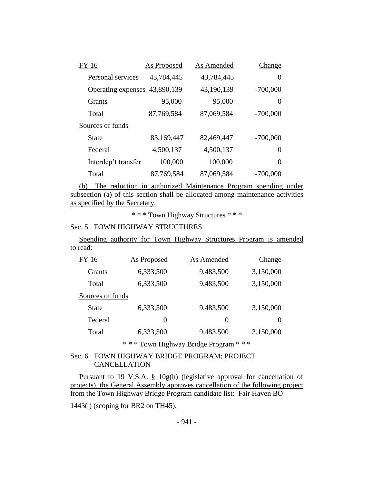| FY 16                         | <b>As Proposed</b> | As Amended | Change     |
|-------------------------------|--------------------|------------|------------|
| Personal services             | 43,784,445         | 43,784,445 | $\theta$   |
| Operating expenses 43,890,139 |                    | 43,190,139 | $-700,000$ |
| <b>Grants</b>                 | 95,000             | 95,000     | $\theta$   |
| Total                         | 87,769,584         | 87,069,584 | $-700,000$ |
| Sources of funds              |                    |            |            |
| State                         | 83,169,447         | 82,469,447 | $-700,000$ |
| Federal                       | 4,500,137          | 4,500,137  | $\Omega$   |
| Interdep't transfer           | 100,000            | 100,000    | $\Omega$   |
| Total                         | 87,769,584         | 87,069,584 | $-700,000$ |

(b) The reduction in authorized Maintenance Program spending under subsection (a) of this section shall be allocated among maintenance activities as specified by the Secretary.

\* \* \* Town Highway Structures \* \* \*

# Sec. 5. TOWN HIGHWAY STRUCTURES

Spending authority for Town Highway Structures Program is amended to read:

| FY 16            | As Proposed | As Amended       | Change           |
|------------------|-------------|------------------|------------------|
| <b>Grants</b>    | 6,333,500   | 9,483,500        | 3,150,000        |
| Total            | 6,333,500   | 9,483,500        | 3,150,000        |
| Sources of funds |             |                  |                  |
| <b>State</b>     | 6,333,500   | 9,483,500        | 3,150,000        |
| Federal          | $\theta$    | $\left( \right)$ | $\left( \right)$ |
| Total            | 6,333,500   | 9,483,500        | 3,150,000        |

\* \* \* Town Highway Bridge Program \* \* \*

# Sec. 6. TOWN HIGHWAY BRIDGE PROGRAM; PROJECT CANCELLATION

Pursuant to 19 V.S.A. § 10g(h) (legislative approval for cancellation of projects), the General Assembly approves cancellation of the following project from the Town Highway Bridge Program candidate list: Fair Haven BO

1443( ) (scoping for BR2 on TH45).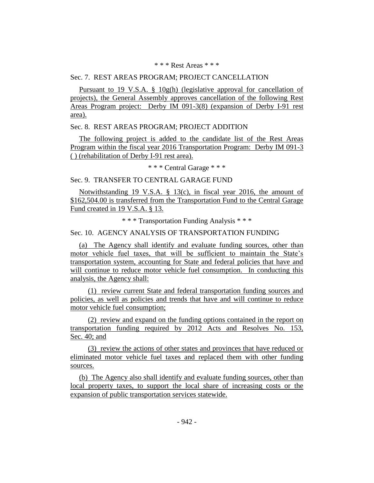## \* \* \* Rest Areas \* \* \*

## Sec. 7. REST AREAS PROGRAM; PROJECT CANCELLATION

Pursuant to 19 V.S.A. § 10g(h) (legislative approval for cancellation of projects), the General Assembly approves cancellation of the following Rest Areas Program project: Derby IM 091-3(8) (expansion of Derby I-91 rest area).

## Sec. 8. REST AREAS PROGRAM; PROJECT ADDITION

The following project is added to the candidate list of the Rest Areas Program within the fiscal year 2016 Transportation Program: Derby IM 091-3 ( ) (rehabilitation of Derby I-91 rest area).

\* \* \* Central Garage \* \* \*

## Sec. 9. TRANSFER TO CENTRAL GARAGE FUND

Notwithstanding 19 V.S.A. § 13(c), in fiscal year 2016, the amount of \$162,504.00 is transferred from the Transportation Fund to the Central Garage Fund created in 19 V.S.A. § 13.

\* \* \* Transportation Funding Analysis \* \* \*

# Sec. 10. AGENCY ANALYSIS OF TRANSPORTATION FUNDING

(a) The Agency shall identify and evaluate funding sources, other than motor vehicle fuel taxes, that will be sufficient to maintain the State's transportation system, accounting for State and federal policies that have and will continue to reduce motor vehicle fuel consumption. In conducting this analysis, the Agency shall:

(1) review current State and federal transportation funding sources and policies, as well as policies and trends that have and will continue to reduce motor vehicle fuel consumption;

(2) review and expand on the funding options contained in the report on transportation funding required by 2012 Acts and Resolves No. 153, Sec. 40; and

(3) review the actions of other states and provinces that have reduced or eliminated motor vehicle fuel taxes and replaced them with other funding sources.

(b) The Agency also shall identify and evaluate funding sources, other than local property taxes, to support the local share of increasing costs or the expansion of public transportation services statewide.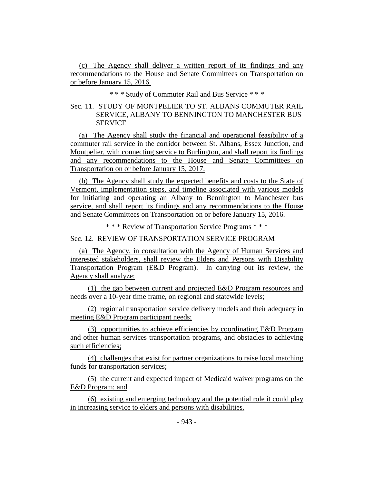(c) The Agency shall deliver a written report of its findings and any recommendations to the House and Senate Committees on Transportation on or before January 15, 2016.

\* \* \* Study of Commuter Rail and Bus Service \* \* \*

# Sec. 11. STUDY OF MONTPELIER TO ST. ALBANS COMMUTER RAIL SERVICE, ALBANY TO BENNINGTON TO MANCHESTER BUS **SERVICE**

(a) The Agency shall study the financial and operational feasibility of a commuter rail service in the corridor between St. Albans, Essex Junction, and Montpelier, with connecting service to Burlington, and shall report its findings and any recommendations to the House and Senate Committees on Transportation on or before January 15, 2017.

(b) The Agency shall study the expected benefits and costs to the State of Vermont, implementation steps, and timeline associated with various models for initiating and operating an Albany to Bennington to Manchester bus service, and shall report its findings and any recommendations to the House and Senate Committees on Transportation on or before January 15, 2016.

\* \* \* Review of Transportation Service Programs \* \* \*

Sec. 12. REVIEW OF TRANSPORTATION SERVICE PROGRAM

(a) The Agency, in consultation with the Agency of Human Services and interested stakeholders, shall review the Elders and Persons with Disability Transportation Program (E&D Program). In carrying out its review, the Agency shall analyze:

(1) the gap between current and projected E&D Program resources and needs over a 10-year time frame, on regional and statewide levels;

(2) regional transportation service delivery models and their adequacy in meeting E&D Program participant needs;

(3) opportunities to achieve efficiencies by coordinating E&D Program and other human services transportation programs, and obstacles to achieving such efficiencies;

(4) challenges that exist for partner organizations to raise local matching funds for transportation services;

(5) the current and expected impact of Medicaid waiver programs on the E&D Program; and

(6) existing and emerging technology and the potential role it could play in increasing service to elders and persons with disabilities.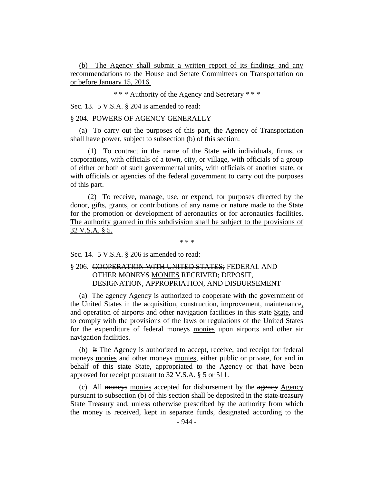(b) The Agency shall submit a written report of its findings and any recommendations to the House and Senate Committees on Transportation on or before January 15, 2016.

\* \* \* Authority of the Agency and Secretary \* \* \*

Sec. 13. 5 V.S.A. § 204 is amended to read:

## § 204. POWERS OF AGENCY GENERALLY

(a) To carry out the purposes of this part, the Agency of Transportation shall have power, subject to subsection (b) of this section:

(1) To contract in the name of the State with individuals, firms, or corporations, with officials of a town, city, or village, with officials of a group of either or both of such governmental units, with officials of another state, or with officials or agencies of the federal government to carry out the purposes of this part.

(2) To receive, manage, use, or expend, for purposes directed by the donor, gifts, grants, or contributions of any name or nature made to the State for the promotion or development of aeronautics or for aeronautics facilities. The authority granted in this subdivision shall be subject to the provisions of 32 V.S.A. § 5.

\* \* \*

Sec. 14. 5 V.S.A. § 206 is amended to read:

# § 206. COOPERATION WITH UNITED STATES; FEDERAL AND OTHER MONEYS MONIES RECEIVED; DEPOSIT, DESIGNATION, APPROPRIATION, AND DISBURSEMENT

(a) The agency Agency is authorized to cooperate with the government of the United States in the acquisition, construction, improvement, maintenance, and operation of airports and other navigation facilities in this state State, and to comply with the provisions of the laws or regulations of the United States for the expenditure of federal moneys monies upon airports and other air navigation facilities.

(b) It The Agency is authorized to accept, receive, and receipt for federal moneys monies and other moneys monies, either public or private, for and in behalf of this state State, appropriated to the Agency or that have been approved for receipt pursuant to 32 V.S.A. § 5 or 511.

(c) All moneys monies accepted for disbursement by the agency Agency pursuant to subsection (b) of this section shall be deposited in the state treasury State Treasury and, unless otherwise prescribed by the authority from which the money is received, kept in separate funds, designated according to the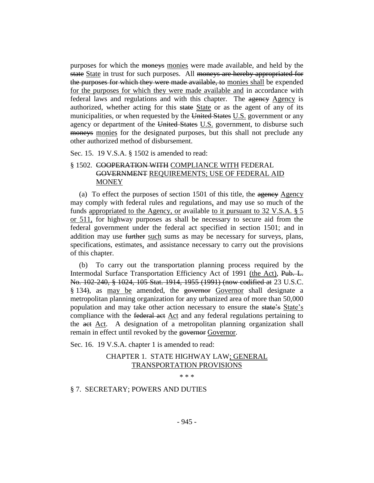purposes for which the moneys monies were made available, and held by the state State in trust for such purposes. All moneys are hereby appropriated for the purposes for which they were made available, to monies shall be expended for the purposes for which they were made available and in accordance with federal laws and regulations and with this chapter. The agency Agency is authorized, whether acting for this state State or as the agent of any of its municipalities, or when requested by the United States U.S. government or any agency or department of the United States U.S. government, to disburse such moneys monies for the designated purposes, but this shall not preclude any other authorized method of disbursement.

Sec. 15. 19 V.S.A. § 1502 is amended to read:

# § 1502. COOPERATION WITH COMPLIANCE WITH FEDERAL GOVERNMENT REQUIREMENTS; USE OF FEDERAL AID **MONEY**

(a) To effect the purposes of section  $1501$  of this title, the agency Agency may comply with federal rules and regulations, and may use so much of the funds appropriated to the Agency, or available to it pursuant to  $32$  V.S.A.  $\S$  5 or 511, for highway purposes as shall be necessary to secure aid from the federal government under the federal act specified in section 1501; and in addition may use further such sums as may be necessary for surveys, plans, specifications, estimates, and assistance necessary to carry out the provisions of this chapter.

(b) To carry out the transportation planning process required by the Intermodal Surface Transportation Efficiency Act of 1991 (the Act), Pub. L. No. 102-240, § 1024, 105 Stat. 1914, 1955 (1991) (now codified at 23 U.S.C. § 134), as may be amended, the governor Governor shall designate a metropolitan planning organization for any urbanized area of more than 50,000 population and may take other action necessary to ensure the state's State's compliance with the federal act Act and any federal regulations pertaining to the act Act. A designation of a metropolitan planning organization shall remain in effect until revoked by the governor Governor.

Sec. 16. 19 V.S.A. chapter 1 is amended to read:

# CHAPTER 1. STATE HIGHWAY LAW; GENERAL TRANSPORTATION PROVISIONS

\* \* \*

# § 7. SECRETARY; POWERS AND DUTIES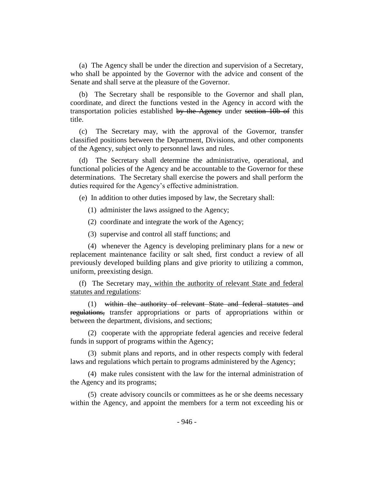(a) The Agency shall be under the direction and supervision of a Secretary, who shall be appointed by the Governor with the advice and consent of the Senate and shall serve at the pleasure of the Governor.

(b) The Secretary shall be responsible to the Governor and shall plan, coordinate, and direct the functions vested in the Agency in accord with the transportation policies established by the Agency under section 10b of this title.

(c) The Secretary may, with the approval of the Governor, transfer classified positions between the Department, Divisions, and other components of the Agency, subject only to personnel laws and rules.

(d) The Secretary shall determine the administrative, operational, and functional policies of the Agency and be accountable to the Governor for these determinations. The Secretary shall exercise the powers and shall perform the duties required for the Agency's effective administration.

(e) In addition to other duties imposed by law, the Secretary shall:

(1) administer the laws assigned to the Agency;

(2) coordinate and integrate the work of the Agency;

(3) supervise and control all staff functions; and

(4) whenever the Agency is developing preliminary plans for a new or replacement maintenance facility or salt shed, first conduct a review of all previously developed building plans and give priority to utilizing a common, uniform, preexisting design.

(f) The Secretary may, within the authority of relevant State and federal statutes and regulations:

(1) within the authority of relevant State and federal statutes and regulations, transfer appropriations or parts of appropriations within or between the department, divisions, and sections;

(2) cooperate with the appropriate federal agencies and receive federal funds in support of programs within the Agency;

(3) submit plans and reports, and in other respects comply with federal laws and regulations which pertain to programs administered by the Agency;

(4) make rules consistent with the law for the internal administration of the Agency and its programs;

(5) create advisory councils or committees as he or she deems necessary within the Agency, and appoint the members for a term not exceeding his or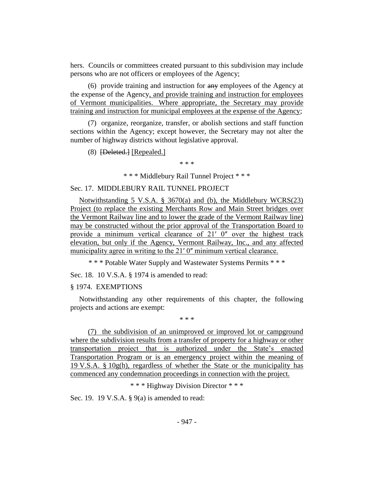hers. Councils or committees created pursuant to this subdivision may include persons who are not officers or employees of the Agency;

 $(6)$  provide training and instruction for  $\frac{a}{a}$  employees of the Agency at the expense of the Agency, and provide training and instruction for employees of Vermont municipalities. Where appropriate, the Secretary may provide training and instruction for municipal employees at the expense of the Agency;

(7) organize, reorganize, transfer, or abolish sections and staff function sections within the Agency; except however, the Secretary may not alter the number of highway districts without legislative approval.

(8) [Deleted.] [Repealed.]

\* \* \*

\* \* \* Middlebury Rail Tunnel Project \* \* \*

## Sec. 17. MIDDLEBURY RAIL TUNNEL PROJECT

Notwithstanding 5 V.S.A. § 3670(a) and (b), the Middlebury WCRS(23) Project (to replace the existing Merchants Row and Main Street bridges over the Vermont Railway line and to lower the grade of the Vermont Railway line) may be constructed without the prior approval of the Transportation Board to provide a minimum vertical clearance of  $21'$  0" over the highest track elevation, but only if the Agency, Vermont Railway, Inc., and any affected municipality agree in writing to the 21' 0" minimum vertical clearance.

\* \* \* Potable Water Supply and Wastewater Systems Permits \* \* \*

Sec. 18. 10 V.S.A. § 1974 is amended to read:

#### § 1974. EXEMPTIONS

Notwithstanding any other requirements of this chapter, the following projects and actions are exempt:

\* \* \*

(7) the subdivision of an unimproved or improved lot or campground where the subdivision results from a transfer of property for a highway or other transportation project that is authorized under the State's enacted Transportation Program or is an emergency project within the meaning of 19 V.S.A.  $\S$  10g(h), regardless of whether the State or the municipality has commenced any condemnation proceedings in connection with the project.

\* \* \* Highway Division Director \* \* \*

Sec. 19. 19 V.S.A. § 9(a) is amended to read: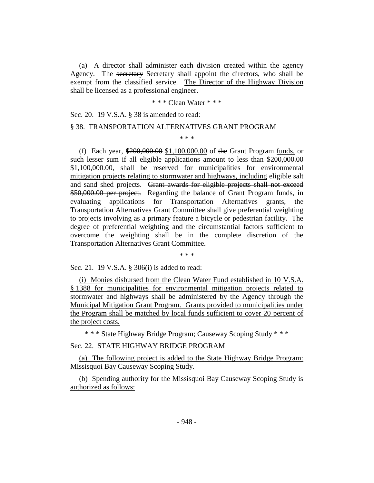(a) A director shall administer each division created within the agency Agency. The secretary Secretary shall appoint the directors, who shall be exempt from the classified service. The Director of the Highway Division shall be licensed as a professional engineer.

\* \* \* Clean Water \* \* \*

Sec. 20. 19 V.S.A. § 38 is amended to read:

#### § 38. TRANSPORTATION ALTERNATIVES GRANT PROGRAM

\* \* \*

(f) Each year, \$200,000.00 \$1,100,000.00 of the Grant Program funds, or such lesser sum if all eligible applications amount to less than \$200,000.00 \$1,100,000.00, shall be reserved for municipalities for environmental mitigation projects relating to stormwater and highways, including eligible salt and sand shed projects. Grant awards for eligible projects shall not exceed \$50,000.00 per project. Regarding the balance of Grant Program funds, in evaluating applications for Transportation Alternatives grants, the Transportation Alternatives Grant Committee shall give preferential weighting to projects involving as a primary feature a bicycle or pedestrian facility. The degree of preferential weighting and the circumstantial factors sufficient to overcome the weighting shall be in the complete discretion of the Transportation Alternatives Grant Committee.

\* \* \*

Sec. 21. 19 V.S.A. § 306(i) is added to read:

(i) Monies disbursed from the Clean Water Fund established in 10 V.S.A. § 1388 for municipalities for environmental mitigation projects related to stormwater and highways shall be administered by the Agency through the Municipal Mitigation Grant Program. Grants provided to municipalities under the Program shall be matched by local funds sufficient to cover 20 percent of the project costs.

\* \* \* State Highway Bridge Program; Causeway Scoping Study \* \* \*

Sec. 22. STATE HIGHWAY BRIDGE PROGRAM

(a) The following project is added to the State Highway Bridge Program: Missisquoi Bay Causeway Scoping Study.

(b) Spending authority for the Missisquoi Bay Causeway Scoping Study is authorized as follows: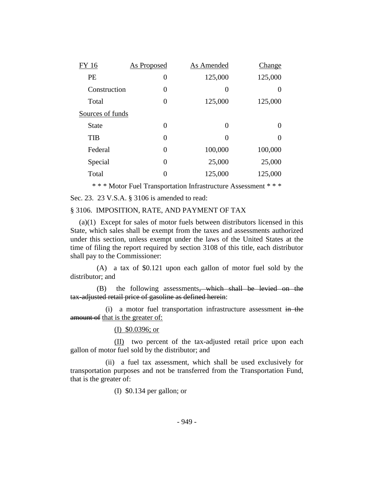| FY 16            | <b>As Proposed</b> | As Amended     | Change           |
|------------------|--------------------|----------------|------------------|
| PE               | 0                  | 125,000        | 125,000          |
| Construction     | 0                  | $\overline{0}$ | $\left( \right)$ |
| Total            | 0                  | 125,000        | 125,000          |
| Sources of funds |                    |                |                  |
| <b>State</b>     | 0                  | $\Omega$       | $\mathcal{L}$    |
| <b>TIB</b>       | 0                  | 0              | 0                |
| Federal          | 0                  | 100,000        | 100,000          |
| Special          | 0                  | 25,000         | 25,000           |
| Total            | 0                  | 125,000        | 125,000          |
|                  |                    |                |                  |

\* \* \* Motor Fuel Transportation Infrastructure Assessment \* \* \*

Sec. 23. 23 V.S.A. § 3106 is amended to read:

## § 3106. IMPOSITION, RATE, AND PAYMENT OF TAX

(a)(1) Except for sales of motor fuels between distributors licensed in this State, which sales shall be exempt from the taxes and assessments authorized under this section, unless exempt under the laws of the United States at the time of filing the report required by section 3108 of this title, each distributor shall pay to the Commissioner:

(A) a tax of \$0.121 upon each gallon of motor fuel sold by the distributor; and

(B) the following assessments, which shall be levied on the tax-adjusted retail price of gasoline as defined herein:

(i) a motor fuel transportation infrastructure assessment in the amount of that is the greater of:

## (I) \$0.0396; or

(II) two percent of the tax-adjusted retail price upon each gallon of motor fuel sold by the distributor; and

(ii) a fuel tax assessment, which shall be used exclusively for transportation purposes and not be transferred from the Transportation Fund, that is the greater of:

(I) \$0.134 per gallon; or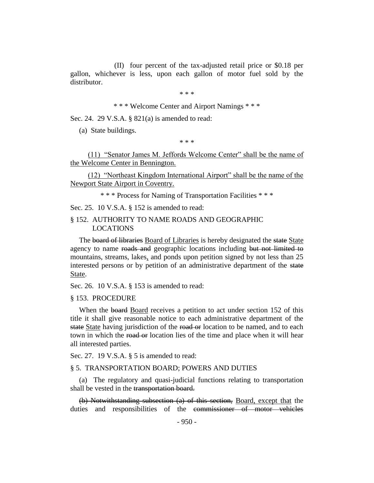(II) four percent of the tax-adjusted retail price or \$0.18 per gallon, whichever is less, upon each gallon of motor fuel sold by the distributor.

\* \* \*

\* \* \* Welcome Center and Airport Namings \* \* \*

Sec. 24. 29 V.S.A. § 821(a) is amended to read:

(a) State buildings.

\* \* \*

(11) "Senator James M. Jeffords Welcome Center" shall be the name of the Welcome Center in Bennington.

(12) "Northeast Kingdom International Airport" shall be the name of the Newport State Airport in Coventry.

\* \* \* Process for Naming of Transportation Facilities \* \* \*

Sec. 25. 10 V.S.A. § 152 is amended to read:

## § 152. AUTHORITY TO NAME ROADS AND GEOGRAPHIC LOCATIONS

The board of libraries Board of Libraries is hereby designated the state State agency to name roads and geographic locations including but not limited to mountains, streams, lakes, and ponds upon petition signed by not less than 25 interested persons or by petition of an administrative department of the state State.

Sec. 26. 10 V.S.A. § 153 is amended to read:

## § 153. PROCEDURE

When the board Board receives a petition to act under section 152 of this title it shall give reasonable notice to each administrative department of the state State having jurisdiction of the road or location to be named, and to each town in which the road or location lies of the time and place when it will hear all interested parties.

Sec. 27. 19 V.S.A. § 5 is amended to read:

#### § 5. TRANSPORTATION BOARD; POWERS AND DUTIES

(a) The regulatory and quasi-judicial functions relating to transportation shall be vested in the transportation board.

(b) Notwithstanding subsection (a) of this section, Board, except that the duties and responsibilities of the commissioner of motor vehicles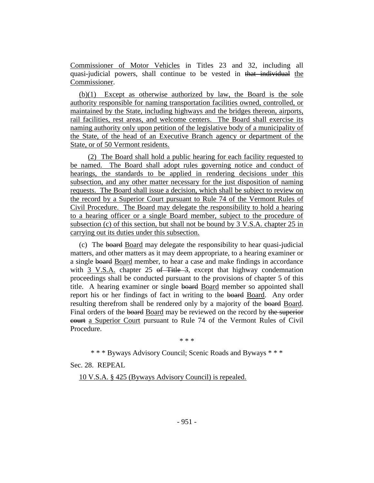Commissioner of Motor Vehicles in Titles 23 and 32, including all quasi-judicial powers, shall continue to be vested in that individual the Commissioner.

(b)(1) Except as otherwise authorized by law, the Board is the sole authority responsible for naming transportation facilities owned, controlled, or maintained by the State, including highways and the bridges thereon, airports, rail facilities, rest areas, and welcome centers. The Board shall exercise its naming authority only upon petition of the legislative body of a municipality of the State, of the head of an Executive Branch agency or department of the State, or of 50 Vermont residents.

(2) The Board shall hold a public hearing for each facility requested to be named. The Board shall adopt rules governing notice and conduct of hearings, the standards to be applied in rendering decisions under this subsection, and any other matter necessary for the just disposition of naming requests. The Board shall issue a decision, which shall be subject to review on the record by a Superior Court pursuant to Rule 74 of the Vermont Rules of Civil Procedure. The Board may delegate the responsibility to hold a hearing to a hearing officer or a single Board member, subject to the procedure of subsection (c) of this section, but shall not be bound by 3 V.S.A. chapter 25 in carrying out its duties under this subsection.

(c) The board Board may delegate the responsibility to hear quasi-judicial matters, and other matters as it may deem appropriate, to a hearing examiner or a single board Board member, to hear a case and make findings in accordance with 3 V.S.A. chapter 25 of Title 3, except that highway condemnation proceedings shall be conducted pursuant to the provisions of chapter 5 of this title. A hearing examiner or single board Board member so appointed shall report his or her findings of fact in writing to the board Board. Any order resulting therefrom shall be rendered only by a majority of the board Board. Final orders of the board Board may be reviewed on the record by the superior court a Superior Court pursuant to Rule 74 of the Vermont Rules of Civil Procedure.

\* \* \*

\* \* \* Byways Advisory Council; Scenic Roads and Byways \* \* \*

Sec. 28. REPEAL

10 V.S.A. § 425 (Byways Advisory Council) is repealed.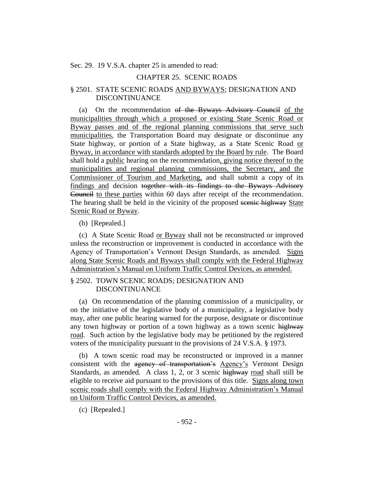Sec. 29. 19 V.S.A. chapter 25 is amended to read:

# CHAPTER 25. SCENIC ROADS

## § 2501. STATE SCENIC ROADS AND BYWAYS; DESIGNATION AND DISCONTINUANCE

(a) On the recommendation of the Byways Advisory Council of the municipalities through which a proposed or existing State Scenic Road or Byway passes and of the regional planning commissions that serve such municipalities, the Transportation Board may designate or discontinue any State highway, or portion of a State highway, as a State Scenic Road or Byway, in accordance with standards adopted by the Board by rule. The Board shall hold a public hearing on the recommendation, giving notice thereof to the municipalities and regional planning commissions, the Secretary, and the Commissioner of Tourism and Marketing, and shall submit a copy of its findings and decision together with its findings to the Byways Advisory Council to these parties within 60 days after receipt of the recommendation. The hearing shall be held in the vicinity of the proposed seenic highway State Scenic Road or Byway.

(b) [Repealed.]

(c) A State Scenic Road or Byway shall not be reconstructed or improved unless the reconstruction or improvement is conducted in accordance with the Agency of Transportation's Vermont Design Standards, as amended. Signs along State Scenic Roads and Byways shall comply with the Federal Highway Administration's Manual on Uniform Traffic Control Devices, as amended.

## § 2502. TOWN SCENIC ROADS; DESIGNATION AND DISCONTINUANCE

(a) On recommendation of the planning commission of a municipality, or on the initiative of the legislative body of a municipality, a legislative body may, after one public hearing warned for the purpose, designate or discontinue any town highway or portion of a town highway as a town scenic highway road. Such action by the legislative body may be petitioned by the registered voters of the municipality pursuant to the provisions of 24 V.S.A. § 1973.

(b) A town scenic road may be reconstructed or improved in a manner consistent with the agency of transportation's Agency's Vermont Design Standards, as amended. A class 1, 2, or 3 scenic highway road shall still be eligible to receive aid pursuant to the provisions of this title. Signs along town scenic roads shall comply with the Federal Highway Administration's Manual on Uniform Traffic Control Devices, as amended.

(c) [Repealed.]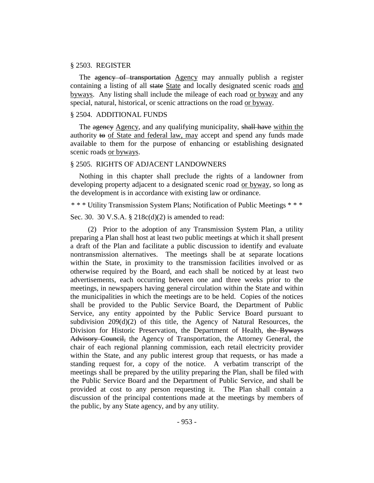## § 2503. REGISTER

The agency of transportation Agency may annually publish a register containing a listing of all state State and locally designated scenic roads and byways. Any listing shall include the mileage of each road or byway and any special, natural, historical, or scenic attractions on the road or byway.

## § 2504. ADDITIONAL FUNDS

The agency Agency, and any qualifying municipality, shall have within the authority to of State and federal law, may accept and spend any funds made available to them for the purpose of enhancing or establishing designated scenic roads or byways.

## § 2505. RIGHTS OF ADJACENT LANDOWNERS

Nothing in this chapter shall preclude the rights of a landowner from developing property adjacent to a designated scenic road or byway, so long as the development is in accordance with existing law or ordinance.

\* \* \* Utility Transmission System Plans; Notification of Public Meetings \* \* \*

Sec. 30. 30 V.S.A. § 218c(d)(2) is amended to read:

(2) Prior to the adoption of any Transmission System Plan, a utility preparing a Plan shall host at least two public meetings at which it shall present a draft of the Plan and facilitate a public discussion to identify and evaluate nontransmission alternatives. The meetings shall be at separate locations within the State, in proximity to the transmission facilities involved or as otherwise required by the Board, and each shall be noticed by at least two advertisements, each occurring between one and three weeks prior to the meetings, in newspapers having general circulation within the State and within the municipalities in which the meetings are to be held. Copies of the notices shall be provided to the Public Service Board, the Department of Public Service, any entity appointed by the Public Service Board pursuant to subdivision 209(d)(2) of this title, the Agency of Natural Resources, the Division for Historic Preservation, the Department of Health, the Byways Advisory Council, the Agency of Transportation, the Attorney General, the chair of each regional planning commission, each retail electricity provider within the State, and any public interest group that requests, or has made a standing request for, a copy of the notice. A verbatim transcript of the meetings shall be prepared by the utility preparing the Plan, shall be filed with the Public Service Board and the Department of Public Service, and shall be provided at cost to any person requesting it. The Plan shall contain a discussion of the principal contentions made at the meetings by members of the public, by any State agency, and by any utility.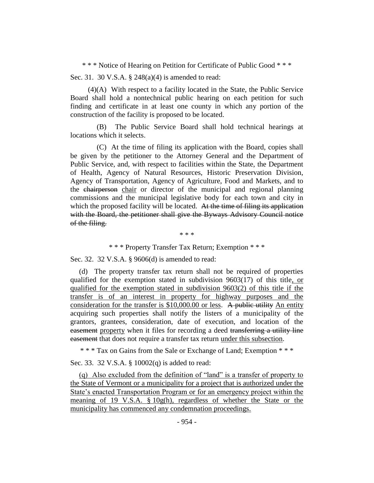\* \* \* Notice of Hearing on Petition for Certificate of Public Good \* \* \*

Sec. 31. 30 V.S.A. § 248(a)(4) is amended to read:

(4)(A) With respect to a facility located in the State, the Public Service Board shall hold a nontechnical public hearing on each petition for such finding and certificate in at least one county in which any portion of the construction of the facility is proposed to be located.

(B) The Public Service Board shall hold technical hearings at locations which it selects.

(C) At the time of filing its application with the Board, copies shall be given by the petitioner to the Attorney General and the Department of Public Service, and, with respect to facilities within the State, the Department of Health, Agency of Natural Resources, Historic Preservation Division, Agency of Transportation, Agency of Agriculture, Food and Markets, and to the chairperson chair or director of the municipal and regional planning commissions and the municipal legislative body for each town and city in which the proposed facility will be located. At the time of filing its application with the Board, the petitioner shall give the Byways Advisory Council notice of the filing.

\* \* \*

\* \* \* Property Transfer Tax Return; Exemption \* \* \*

Sec. 32. 32 V.S.A. § 9606(d) is amended to read:

(d) The property transfer tax return shall not be required of properties qualified for the exemption stated in subdivision 9603(17) of this title, or qualified for the exemption stated in subdivision 9603(2) of this title if the transfer is of an interest in property for highway purposes and the consideration for the transfer is \$10,000.00 or less. A public utility An entity acquiring such properties shall notify the listers of a municipality of the grantors, grantees, consideration, date of execution, and location of the easement property when it files for recording a deed transferring a utility line easement that does not require a transfer tax return under this subsection.

\* \* \* Tax on Gains from the Sale or Exchange of Land; Exemption \* \* \*

Sec. 33. 32 V.S.A. § 10002(q) is added to read:

(q) Also excluded from the definition of "land" is a transfer of property to the State of Vermont or a municipality for a project that is authorized under the State's enacted Transportation Program or for an emergency project within the meaning of 19 V.S.A. § 10g(h), regardless of whether the State or the municipality has commenced any condemnation proceedings.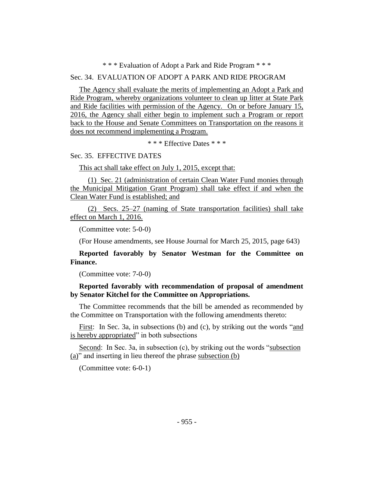## \* \* \* Evaluation of Adopt a Park and Ride Program \* \* \*

## Sec. 34. EVALUATION OF ADOPT A PARK AND RIDE PROGRAM

The Agency shall evaluate the merits of implementing an Adopt a Park and Ride Program, whereby organizations volunteer to clean up litter at State Park and Ride facilities with permission of the Agency. On or before January 15, 2016, the Agency shall either begin to implement such a Program or report back to the House and Senate Committees on Transportation on the reasons it does not recommend implementing a Program.

\* \* \* Effective Dates \* \* \*

# Sec. 35. EFFECTIVE DATES

This act shall take effect on July 1, 2015, except that:

(1) Sec. 21 (administration of certain Clean Water Fund monies through the Municipal Mitigation Grant Program) shall take effect if and when the Clean Water Fund is established; and

(2) Secs. 25–27 (naming of State transportation facilities) shall take effect on March 1, 2016.

(Committee vote: 5-0-0)

(For House amendments, see House Journal for March 25, 2015, page 643)

**Reported favorably by Senator Westman for the Committee on Finance.**

(Committee vote: 7-0-0)

**Reported favorably with recommendation of proposal of amendment by Senator Kitchel for the Committee on Appropriations.**

The Committee recommends that the bill be amended as recommended by the Committee on Transportation with the following amendments thereto:

First: In Sec. 3a, in subsections (b) and (c), by striking out the words "and is hereby appropriated" in both subsections

Second: In Sec. 3a, in subsection (c), by striking out the words "subsection (a)" and inserting in lieu thereof the phrase subsection (b)

(Committee vote: 6-0-1)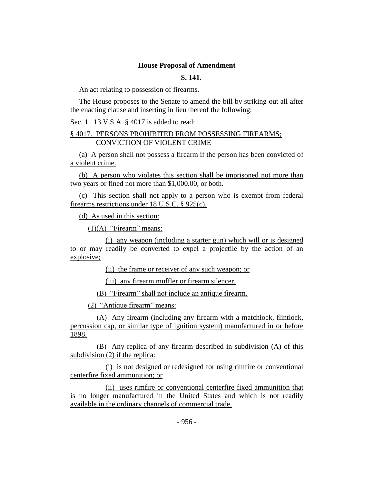## **House Proposal of Amendment**

# **S. 141.**

An act relating to possession of firearms.

The House proposes to the Senate to amend the bill by striking out all after the enacting clause and inserting in lieu thereof the following:

Sec. 1. 13 V.S.A. § 4017 is added to read:

## § 4017. PERSONS PROHIBITED FROM POSSESSING FIREARMS; CONVICTION OF VIOLENT CRIME

(a) A person shall not possess a firearm if the person has been convicted of a violent crime.

(b) A person who violates this section shall be imprisoned not more than two years or fined not more than \$1,000.00, or both.

(c) This section shall not apply to a person who is exempt from federal firearms restrictions under 18 U.S.C. § 925(c).

(d) As used in this section:

 $(1)(A)$  "Firearm" means:

(i) any weapon (including a starter gun) which will or is designed to or may readily be converted to expel a projectile by the action of an explosive;

(ii) the frame or receiver of any such weapon; or

(iii) any firearm muffler or firearm silencer.

(B) "Firearm" shall not include an antique firearm.

(2) "Antique firearm" means:

(A) Any firearm (including any firearm with a matchlock, flintlock, percussion cap, or similar type of ignition system) manufactured in or before 1898.

(B) Any replica of any firearm described in subdivision (A) of this subdivision (2) if the replica:

(i) is not designed or redesigned for using rimfire or conventional centerfire fixed ammunition; or

(ii) uses rimfire or conventional centerfire fixed ammunition that is no longer manufactured in the United States and which is not readily available in the ordinary channels of commercial trade.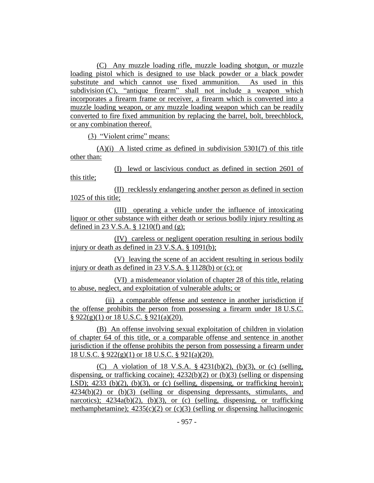(C) Any muzzle loading rifle, muzzle loading shotgun, or muzzle loading pistol which is designed to use black powder or a black powder substitute and which cannot use fixed ammunition. As used in this subdivision (C), "antique firearm" shall not include a weapon which incorporates a firearm frame or receiver, a firearm which is converted into a muzzle loading weapon, or any muzzle loading weapon which can be readily converted to fire fixed ammunition by replacing the barrel, bolt, breechblock, or any combination thereof.

(3) "Violent crime" means:

 $(A)(i)$  A listed crime as defined in subdivision 5301(7) of this title other than:

(I) lewd or lascivious conduct as defined in section 2601 of this title;

(II) recklessly endangering another person as defined in section 1025 of this title;

(III) operating a vehicle under the influence of intoxicating liquor or other substance with either death or serious bodily injury resulting as defined in 23 V.S.A. § 1210(f) and (g);

(IV) careless or negligent operation resulting in serious bodily injury or death as defined in 23 V.S.A. § 1091(b);

(V) leaving the scene of an accident resulting in serious bodily injury or death as defined in 23 V.S.A. § 1128(b) or (c); or

(VI) a misdemeanor violation of chapter 28 of this title, relating to abuse, neglect, and exploitation of vulnerable adults; or

(ii) a comparable offense and sentence in another jurisdiction if the offense prohibits the person from possessing a firearm under 18 U.S.C.  $§ 922(g)(1)$  or 18 U.S.C. § 921(a)(20).

(B) An offense involving sexual exploitation of children in violation of chapter 64 of this title, or a comparable offense and sentence in another jurisdiction if the offense prohibits the person from possessing a firearm under 18 U.S.C. § 922(g)(1) or 18 U.S.C. § 921(a)(20).

(C) A violation of 18 V.S.A.  $\S$  4231(b)(2), (b)(3), or (c) (selling, dispensing, or trafficking cocaine);  $4232(b)(2)$  or  $(b)(3)$  (selling or dispensing LSD);  $4233$  (b)(2), (b)(3), or (c) (selling, dispensing, or trafficking heroin); 4234(b)(2) or (b)(3) (selling or dispensing depressants, stimulants, and narcotics);  $4234a(b)(2)$ ,  $(b)(3)$ , or (c) (selling, dispensing, or trafficking methamphetamine);  $4235(c)(2)$  or (c)(3) (selling or dispensing hallucinogenic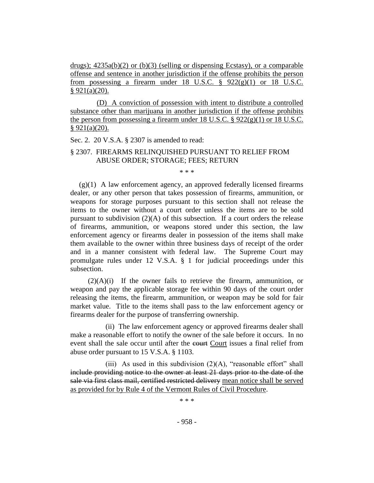drugs);  $4235a(b)(2)$  or (b)(3) (selling or dispensing Ecstasy), or a comparable offense and sentence in another jurisdiction if the offense prohibits the person from possessing a firearm under 18 U.S.C.  $\S$  922(g)(1) or 18 U.S.C.  $§ 921(a)(20).$ 

(D) A conviction of possession with intent to distribute a controlled substance other than marijuana in another jurisdiction if the offense prohibits the person from possessing a firearm under 18 U.S.C. § 922(g)(1) or 18 U.S.C.  $§ 921(a)(20).$ 

Sec. 2. 20 V.S.A. § 2307 is amended to read:

## § 2307. FIREARMS RELINQUISHED PURSUANT TO RELIEF FROM ABUSE ORDER; STORAGE; FEES; RETURN

\* \* \*

 $(g)(1)$  A law enforcement agency, an approved federally licensed firearms dealer, or any other person that takes possession of firearms, ammunition, or weapons for storage purposes pursuant to this section shall not release the items to the owner without a court order unless the items are to be sold pursuant to subdivision  $(2)(A)$  of this subsection. If a court orders the release of firearms, ammunition, or weapons stored under this section, the law enforcement agency or firearms dealer in possession of the items shall make them available to the owner within three business days of receipt of the order and in a manner consistent with federal law. The Supreme Court may promulgate rules under 12 V.S.A. § 1 for judicial proceedings under this subsection.

 $(2)(A)(i)$  If the owner fails to retrieve the firearm, ammunition, or weapon and pay the applicable storage fee within 90 days of the court order releasing the items, the firearm, ammunition, or weapon may be sold for fair market value. Title to the items shall pass to the law enforcement agency or firearms dealer for the purpose of transferring ownership.

(ii) The law enforcement agency or approved firearms dealer shall make a reasonable effort to notify the owner of the sale before it occurs. In no event shall the sale occur until after the court Court issues a final relief from abuse order pursuant to 15 V.S.A. § 1103.

(iii) As used in this subdivision  $(2)(A)$ , "reasonable effort" shall include providing notice to the owner at least 21 days prior to the date of the sale via first class mail, certified restricted delivery mean notice shall be served as provided for by Rule 4 of the Vermont Rules of Civil Procedure.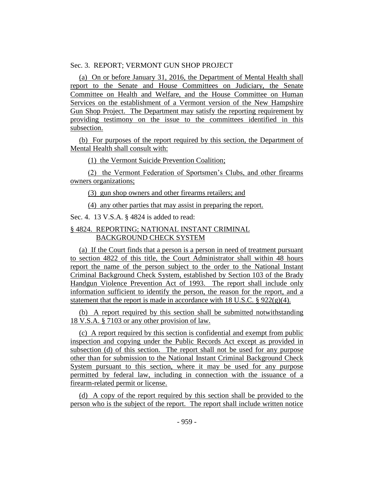## Sec. 3. REPORT; VERMONT GUN SHOP PROJECT

(a) On or before January 31, 2016, the Department of Mental Health shall report to the Senate and House Committees on Judiciary, the Senate Committee on Health and Welfare, and the House Committee on Human Services on the establishment of a Vermont version of the New Hampshire Gun Shop Project. The Department may satisfy the reporting requirement by providing testimony on the issue to the committees identified in this subsection.

(b) For purposes of the report required by this section, the Department of Mental Health shall consult with:

(1) the Vermont Suicide Prevention Coalition;

(2) the Vermont Federation of Sportsmen's Clubs, and other firearms owners organizations;

(3) gun shop owners and other firearms retailers; and

(4) any other parties that may assist in preparing the report.

Sec. 4. 13 V.S.A. § 4824 is added to read:

# § 4824. REPORTING; NATIONAL INSTANT CRIMINAL BACKGROUND CHECK SYSTEM

(a) If the Court finds that a person is a person in need of treatment pursuant to section 4822 of this title, the Court Administrator shall within 48 hours report the name of the person subject to the order to the National Instant Criminal Background Check System, established by Section 103 of the Brady Handgun Violence Prevention Act of 1993. The report shall include only information sufficient to identify the person, the reason for the report, and a statement that the report is made in accordance with 18 U.S.C.  $\S 922(g)(4)$ .

(b) A report required by this section shall be submitted notwithstanding 18 V.S.A. § 7103 or any other provision of law.

(c) A report required by this section is confidential and exempt from public inspection and copying under the Public Records Act except as provided in subsection (d) of this section. The report shall not be used for any purpose other than for submission to the National Instant Criminal Background Check System pursuant to this section, where it may be used for any purpose permitted by federal law, including in connection with the issuance of a firearm-related permit or license.

(d) A copy of the report required by this section shall be provided to the person who is the subject of the report. The report shall include written notice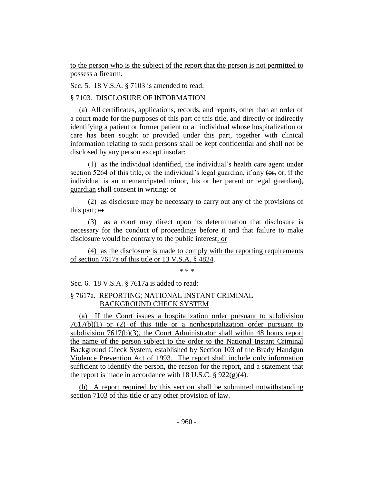to the person who is the subject of the report that the person is not permitted to possess a firearm.

Sec. 5. 18 V.S.A. § 7103 is amended to read:

# § 7103. DISCLOSURE OF INFORMATION

(a) All certificates, applications, records, and reports, other than an order of a court made for the purposes of this part of this title, and directly or indirectly identifying a patient or former patient or an individual whose hospitalization or care has been sought or provided under this part, together with clinical information relating to such persons shall be kept confidential and shall not be disclosed by any person except insofar:

(1) as the individual identified, the individual's health care agent under section 5264 of this title, or the individual's legal guardian, if any (or, or, if the individual is an unemancipated minor, his or her parent or legal guardian), guardian shall consent in writing; or

(2) as disclosure may be necessary to carry out any of the provisions of this part; or

(3) as a court may direct upon its determination that disclosure is necessary for the conduct of proceedings before it and that failure to make disclosure would be contrary to the public interest; or

(4) as the disclosure is made to comply with the reporting requirements of section 7617a of this title or 13 V.S.A. § 4824.

\* \* \*

Sec. 6. 18 V.S.A. § 7617a is added to read:

# § 7617a. REPORTING; NATIONAL INSTANT CRIMINAL BACKGROUND CHECK SYSTEM

(a) If the Court issues a hospitalization order pursuant to subdivision  $7617(b)(1)$  or (2) of this title or a nonhospitalization order pursuant to subdivision 7617(b)(3), the Court Administrator shall within 48 hours report the name of the person subject to the order to the National Instant Criminal Background Check System, established by Section 103 of the Brady Handgun Violence Prevention Act of 1993. The report shall include only information sufficient to identify the person, the reason for the report, and a statement that the report is made in accordance with 18 U.S.C.  $\S 922(g)(4)$ .

(b) A report required by this section shall be submitted notwithstanding section 7103 of this title or any other provision of law.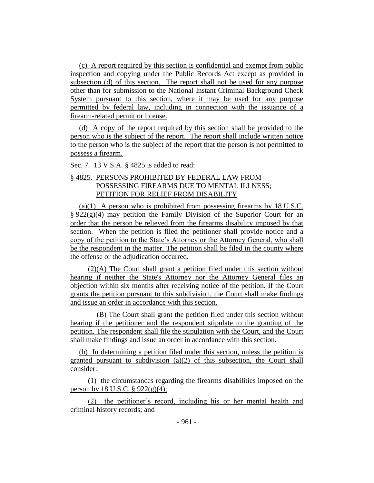(c) A report required by this section is confidential and exempt from public inspection and copying under the Public Records Act except as provided in subsection (d) of this section. The report shall not be used for any purpose other than for submission to the National Instant Criminal Background Check System pursuant to this section, where it may be used for any purpose permitted by federal law, including in connection with the issuance of a firearm-related permit or license.

(d) A copy of the report required by this section shall be provided to the person who is the subject of the report. The report shall include written notice to the person who is the subject of the report that the person is not permitted to possess a firearm.

Sec. 7. 13 V.S.A. § 4825 is added to read:

# § 4825. PERSONS PROHIBITED BY FEDERAL LAW FROM POSSESSING FIREARMS DUE TO MENTAL ILLNESS; PETITION FOR RELIEF FROM DISABILITY

(a)(1) A person who is prohibited from possessing firearms by 18 U.S.C.  $\S 922(g)(4)$  may petition the Family Division of the Superior Court for an order that the person be relieved from the firearms disability imposed by that section. When the petition is filed the petitioner shall provide notice and a copy of the petition to the State's Attorney or the Attorney General, who shall be the respondent in the matter. The petition shall be filed in the county where the offense or the adjudication occurred.

(2)(A) The Court shall grant a petition filed under this section without hearing if neither the State's Attorney nor the Attorney General files an objection within six months after receiving notice of the petition. If the Court grants the petition pursuant to this subdivision, the Court shall make findings and issue an order in accordance with this section.

(B) The Court shall grant the petition filed under this section without hearing if the petitioner and the respondent stipulate to the granting of the petition. The respondent shall file the stipulation with the Court, and the Court shall make findings and issue an order in accordance with this section.

(b) In determining a petition filed under this section, unless the petition is granted pursuant to subdivision (a)(2) of this subsection, the Court shall consider:

(1) the circumstances regarding the firearms disabilities imposed on the person by 18 U.S.C.  $\S 922(g)(4)$ ;

(2) the petitioner's record, including his or her mental health and criminal history records; and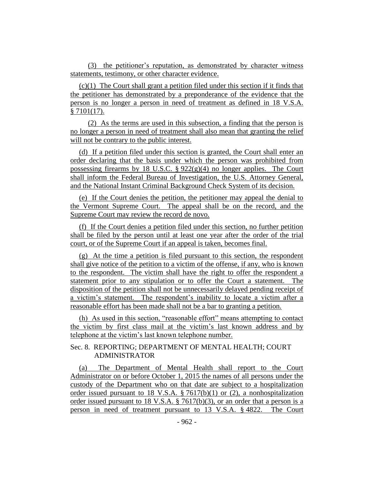(3) the petitioner's reputation, as demonstrated by character witness statements, testimony, or other character evidence.

(c)(1) The Court shall grant a petition filed under this section if it finds that the petitioner has demonstrated by a preponderance of the evidence that the person is no longer a person in need of treatment as defined in 18 V.S.A. § 7101(17).

(2) As the terms are used in this subsection, a finding that the person is no longer a person in need of treatment shall also mean that granting the relief will not be contrary to the public interest.

(d) If a petition filed under this section is granted, the Court shall enter an order declaring that the basis under which the person was prohibited from possessing firearms by 18 U.S.C. §  $922(g)(4)$  no longer applies. The Court shall inform the Federal Bureau of Investigation, the U.S. Attorney General, and the National Instant Criminal Background Check System of its decision.

(e) If the Court denies the petition, the petitioner may appeal the denial to the Vermont Supreme Court. The appeal shall be on the record, and the Supreme Court may review the record de novo.

(f) If the Court denies a petition filed under this section, no further petition shall be filed by the person until at least one year after the order of the trial court, or of the Supreme Court if an appeal is taken, becomes final.

(g) At the time a petition is filed pursuant to this section, the respondent shall give notice of the petition to a victim of the offense, if any, who is known to the respondent. The victim shall have the right to offer the respondent a statement prior to any stipulation or to offer the Court a statement. The disposition of the petition shall not be unnecessarily delayed pending receipt of a victim's statement. The respondent's inability to locate a victim after a reasonable effort has been made shall not be a bar to granting a petition.

(h) As used in this section, "reasonable effort" means attempting to contact the victim by first class mail at the victim's last known address and by telephone at the victim's last known telephone number.

# Sec. 8. REPORTING; DEPARTMENT OF MENTAL HEALTH; COURT ADMINISTRATOR

(a) The Department of Mental Health shall report to the Court Administrator on or before October 1, 2015 the names of all persons under the custody of the Department who on that date are subject to a hospitalization order issued pursuant to 18 V.S.A. § 7617(b)(1) or (2), a nonhospitalization order issued pursuant to 18 V.S.A. § 7617(b)(3), or an order that a person is a person in need of treatment pursuant to 13 V.S.A. § 4822. The Court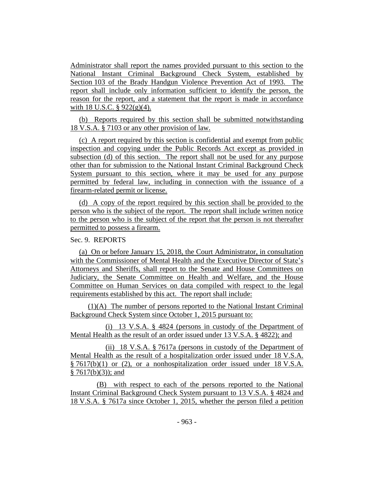Administrator shall report the names provided pursuant to this section to the National Instant Criminal Background Check System, established by Section 103 of the Brady Handgun Violence Prevention Act of 1993. The report shall include only information sufficient to identify the person, the reason for the report, and a statement that the report is made in accordance with 18 U.S.C.  $\S$  922(g)(4).

(b) Reports required by this section shall be submitted notwithstanding 18 V.S.A. § 7103 or any other provision of law.

(c) A report required by this section is confidential and exempt from public inspection and copying under the Public Records Act except as provided in subsection (d) of this section. The report shall not be used for any purpose other than for submission to the National Instant Criminal Background Check System pursuant to this section, where it may be used for any purpose permitted by federal law, including in connection with the issuance of a firearm-related permit or license.

(d) A copy of the report required by this section shall be provided to the person who is the subject of the report. The report shall include written notice to the person who is the subject of the report that the person is not thereafter permitted to possess a firearm.

## Sec. 9. REPORTS

(a) On or before January 15, 2018, the Court Administrator, in consultation with the Commissioner of Mental Health and the Executive Director of State's Attorneys and Sheriffs, shall report to the Senate and House Committees on Judiciary, the Senate Committee on Health and Welfare, and the House Committee on Human Services on data compiled with respect to the legal requirements established by this act. The report shall include:

(1)(A) The number of persons reported to the National Instant Criminal Background Check System since October 1, 2015 pursuant to:

(i) 13 V.S.A. § 4824 (persons in custody of the Department of Mental Health as the result of an order issued under 13 V.S.A. § 4822); and

(ii) 18 V.S.A. § 7617a (persons in custody of the Department of Mental Health as the result of a hospitalization order issued under 18 V.S.A. § 7617(b)(1) or (2), or a nonhospitalization order issued under 18 V.S.A.  $§ 7617(b)(3)$ ; and

(B) with respect to each of the persons reported to the National Instant Criminal Background Check System pursuant to 13 V.S.A. § 4824 and 18 V.S.A. § 7617a since October 1, 2015, whether the person filed a petition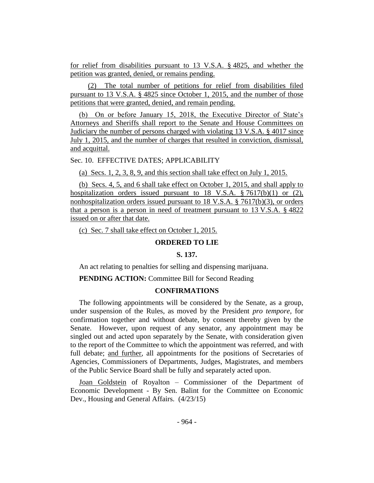for relief from disabilities pursuant to 13 V.S.A. § 4825, and whether the petition was granted, denied, or remains pending.

(2) The total number of petitions for relief from disabilities filed pursuant to 13 V.S.A. § 4825 since October 1, 2015, and the number of those petitions that were granted, denied, and remain pending.

(b) On or before January 15, 2018, the Executive Director of State's Attorneys and Sheriffs shall report to the Senate and House Committees on Judiciary the number of persons charged with violating 13 V.S.A. § 4017 since July 1, 2015, and the number of charges that resulted in conviction, dismissal, and acquittal.

Sec. 10. EFFECTIVE DATES; APPLICABILITY

(a) Secs. 1, 2, 3, 8, 9, and this section shall take effect on July 1, 2015.

(b) Secs. 4, 5, and 6 shall take effect on October 1, 2015, and shall apply to hospitalization orders issued pursuant to 18 V.S.A.  $\S$  7617(b)(1) or (2), nonhospitalization orders issued pursuant to 18 V.S.A. § 7617(b)(3), or orders that a person is a person in need of treatment pursuant to 13 V.S.A. § 4822 issued on or after that date.

(c) Sec. 7 shall take effect on October 1, 2015.

## **ORDERED TO LIE**

## **S. 137.**

An act relating to penalties for selling and dispensing marijuana.

**PENDING ACTION:** Committee Bill for Second Reading

## **CONFIRMATIONS**

The following appointments will be considered by the Senate, as a group, under suspension of the Rules, as moved by the President *pro tempore,* for confirmation together and without debate, by consent thereby given by the Senate. However, upon request of any senator, any appointment may be singled out and acted upon separately by the Senate, with consideration given to the report of the Committee to which the appointment was referred, and with full debate; and further, all appointments for the positions of Secretaries of Agencies, Commissioners of Departments, Judges, Magistrates, and members of the Public Service Board shall be fully and separately acted upon.

Joan Goldstein of Royalton – Commissioner of the Department of Economic Development - By Sen. Balint for the Committee on Economic Dev., Housing and General Affairs. (4/23/15)